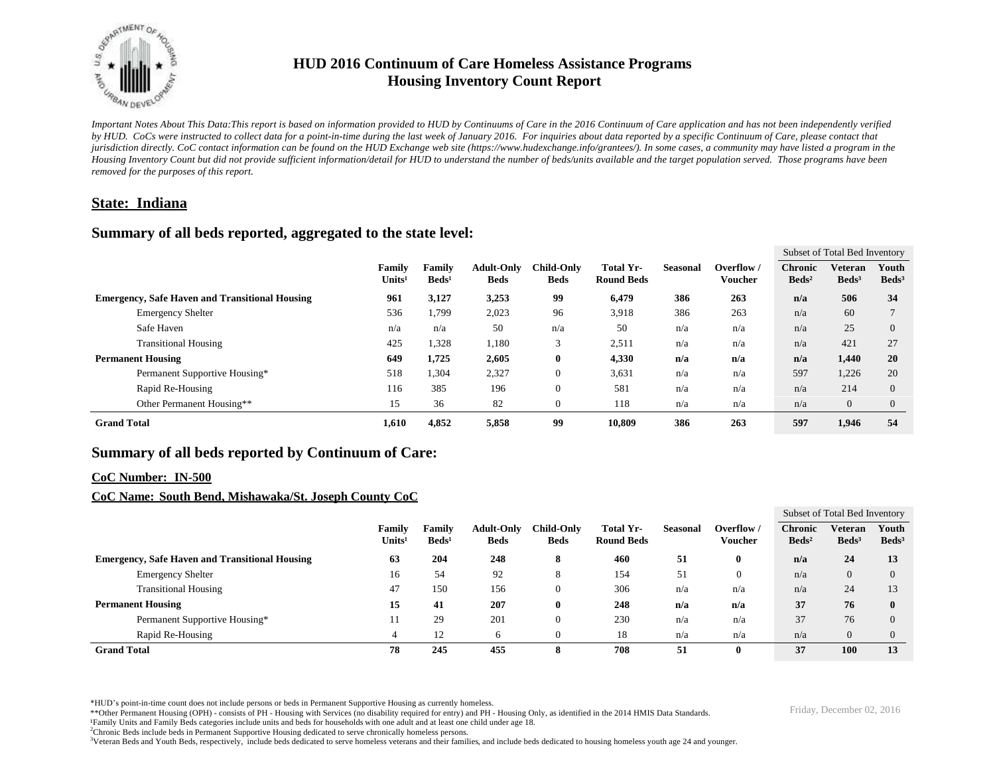

# **HUD 2016 Continuum of Care Homeless Assistance Programs Housing Inventory Count Report**

*Important Notes About This Data:This report is based on information provided to HUD by Continuums of Care in the 2016 Continuum of Care application and has not been independently verified by HUD. CoCs were instructed to collect data for a point-in-time during the last week of January 2016. For inquiries about data reported by a specific Continuum of Care, please contact that jurisdiction directly. CoC contact information can be found on the HUD Exchange web site (https://www.hudexchange.info/grantees/). In some cases, a community may have listed a program in the Housing Inventory Count but did not provide sufficient information/detail for HUD to understand the number of beds/units available and the target population served. Those programs have been removed for the purposes of this report.*

### **State: Indiana**

### **Summary of all beds reported, aggregated to the state level:**

|                                                       |                                     |                           |                                  |                                  |                                |                 |                             | Subset of Total Bed Inventory     |                            |                          |
|-------------------------------------------------------|-------------------------------------|---------------------------|----------------------------------|----------------------------------|--------------------------------|-----------------|-----------------------------|-----------------------------------|----------------------------|--------------------------|
|                                                       | <b>Family</b><br>Units <sup>1</sup> | Familv<br>$\text{Beds}^1$ | <b>Adult-Only</b><br><b>Beds</b> | <b>Child-Only</b><br><b>Beds</b> | Total Yr-<br><b>Round Beds</b> | <b>Seasonal</b> | Overflow/<br><b>Voucher</b> | <b>Chronic</b><br>$\text{Beds}^2$ | Veteran<br>$\text{Beds}^3$ | Youth<br>$\text{Beds}^3$ |
| <b>Emergency, Safe Haven and Transitional Housing</b> | 961                                 | 3,127                     | 3,253                            | 99                               | 6,479                          | 386             | 263                         | n/a                               | 506                        | 34                       |
| <b>Emergency Shelter</b>                              | 536                                 | 1,799                     | 2,023                            | 96                               | 3,918                          | 386             | 263                         | n/a                               | 60                         |                          |
| Safe Haven                                            | n/a                                 | n/a                       | 50                               | n/a                              | 50                             | n/a             | n/a                         | n/a                               | 25                         | $\Omega$                 |
| <b>Transitional Housing</b>                           | 425                                 | 1,328                     | 1,180                            | 3                                | 2,511                          | n/a             | n/a                         | n/a                               | 421                        | 27                       |
| <b>Permanent Housing</b>                              | 649                                 | 1,725                     | 2,605                            | $\bf{0}$                         | 4,330                          | n/a             | n/a                         | n/a                               | 1.440                      | 20                       |
| Permanent Supportive Housing*                         | 518                                 | 1,304                     | 2,327                            | $\boldsymbol{0}$                 | 3,631                          | n/a             | n/a                         | 597                               | 1,226                      | 20                       |
| Rapid Re-Housing                                      | 116                                 | 385                       | 196                              | $\mathbf{0}$                     | 581                            | n/a             | n/a                         | n/a                               | 214                        | $\Omega$                 |
| Other Permanent Housing**                             | 15                                  | 36                        | 82                               | $\mathbf{0}$                     | 118                            | n/a             | n/a                         | n/a                               | $\overline{0}$             | $\theta$                 |
| <b>Grand Total</b>                                    | 1,610                               | 4,852                     | 5,858                            | 99                               | 10,809                         | 386             | 263                         | 597                               | 1,946                      | 54                       |

## **Summary of all beds reported by Continuum of Care:**

### **CoC Number: IN-500**

### **CoC Name: South Bend, Mishawaka/St. Joseph County CoC**

|                                                       |                              |                           |                                  |                           |                                |          |                              | Subset of Total Bed Inventory     |                              |                          |
|-------------------------------------------------------|------------------------------|---------------------------|----------------------------------|---------------------------|--------------------------------|----------|------------------------------|-----------------------------------|------------------------------|--------------------------|
|                                                       | Family<br>Units <sup>1</sup> | Family<br>$\text{Beds}^1$ | <b>Adult-Only</b><br><b>Beds</b> | Child-Only<br><b>Beds</b> | Total Yr-<br><b>Round Beds</b> | Seasonal | Overflow /<br><b>Voucher</b> | <b>Chronic</b><br>$\text{Beds}^2$ | Veteran<br>Beds <sup>3</sup> | Youth<br>$\text{Beds}^3$ |
| <b>Emergency, Safe Haven and Transitional Housing</b> | 63                           | 204                       | 248                              | 8                         | 460                            | 51       |                              | n/a                               | 24                           | 13                       |
| <b>Emergency Shelter</b>                              | 16                           | 54                        | 92                               | 8                         | 154                            | 51       | $\mathbf{0}$                 | n/a                               | $\overline{0}$               | $\Omega$                 |
| <b>Transitional Housing</b>                           | 47                           | 150                       | 156                              |                           | 306                            | n/a      | n/a                          | n/a                               | 24                           | 13                       |
| <b>Permanent Housing</b>                              | 15                           | 41                        | 207                              | Ð                         | 248                            | n/a      | n/a                          | 37                                | 76                           | $\mathbf{0}$             |
| Permanent Supportive Housing*                         |                              | 29                        | 201                              |                           | 230                            | n/a      | n/a                          | 37                                | 76                           | $\Omega$                 |
| Rapid Re-Housing                                      |                              | 12                        | h                                |                           | 18                             | n/a      | n/a                          | n/a                               | $\overline{0}$               |                          |
| <b>Grand Total</b>                                    | 78                           | 245                       | 455                              | 8                         | 708                            | 51       |                              | 37                                | <b>100</b>                   | 13                       |

\*HUD's point-in-time count does not include persons or beds in Permanent Supportive Housing as currently homeless.<br>\*\*Other Permanent Housing (OPH) - consists of PH - Housing with Services (no disability required for entry)

¹Family Units and Family Beds categories include units and beds for households with one adult and at least one child under age 18.

<sup>2</sup>Chronic Beds include beds in Permanent Supportive Housing dedicated to serve chronically homeless persons.

<sup>3</sup>Veteran Beds and Youth Beds, respectively, include beds dedicated to serve homeless veterans and their families, and include beds dedicated to housing homeless youth age 24 and younger.